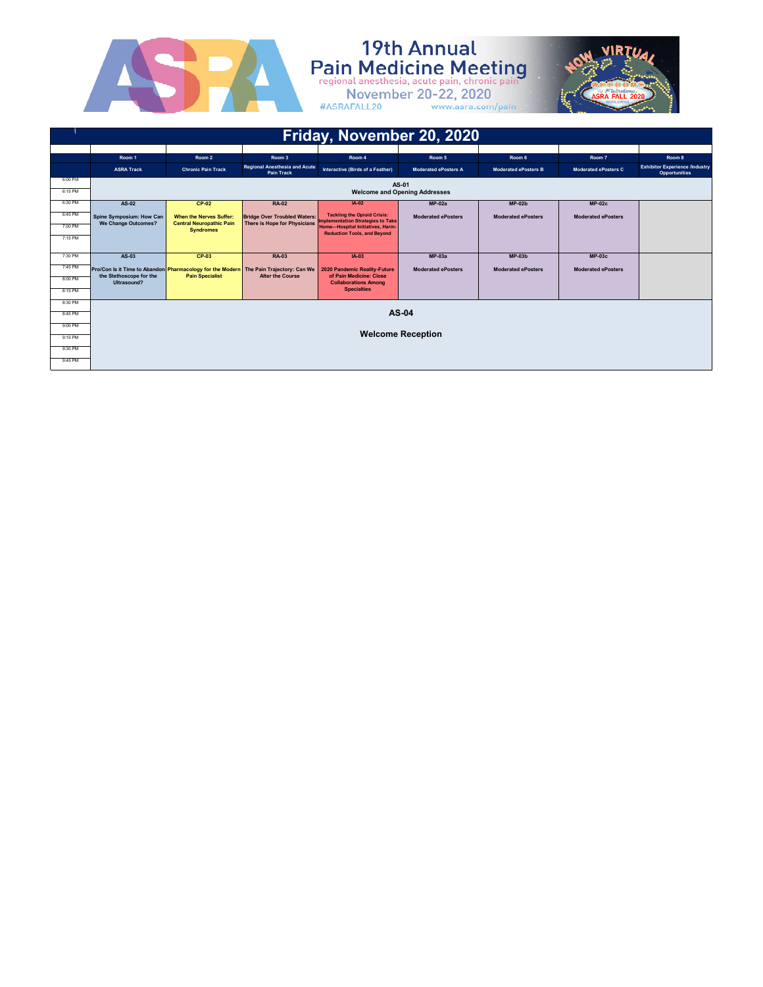

# **19th Annual**<br>Pain Medicine Meeting<br>regional anesthesia, acute pain, chronic pain<br>November 20-22, 2020<br>#ASRAFALL20 www.asra.com/pain



|         |                                                                                       |                                                     |                                                           | Friday, November 20, 2020                                               |                                      |                             |                             |                                                               |
|---------|---------------------------------------------------------------------------------------|-----------------------------------------------------|-----------------------------------------------------------|-------------------------------------------------------------------------|--------------------------------------|-----------------------------|-----------------------------|---------------------------------------------------------------|
|         |                                                                                       |                                                     |                                                           |                                                                         |                                      |                             |                             |                                                               |
|         | Room 1                                                                                | Room <sub>2</sub>                                   | Room 3                                                    | Room 4                                                                  | Room 5                               | Room 6                      | Room 7                      | Room 8                                                        |
|         | <b>ASRA Track</b>                                                                     | <b>Chronic Pain Track</b>                           | <b>Regional Anesthesia and Acute</b><br><b>Pain Track</b> | Interactive (Birds of a Feather)                                        | <b>Moderated ePosters A</b>          | <b>Moderated ePosters B</b> | <b>Moderated ePosters C</b> | <b>Exhibitor Experience /Industry</b><br><b>Opportunities</b> |
| 6:00 PM |                                                                                       |                                                     |                                                           |                                                                         | AS-01                                |                             |                             |                                                               |
| 6:15 PM |                                                                                       |                                                     |                                                           |                                                                         | <b>Welcome and Opening Addresses</b> |                             |                             |                                                               |
| 6:30 PM | AS-02                                                                                 | $CP-02$                                             | <b>RA-02</b>                                              | $IA-02$                                                                 | $MP-02a$                             | $MP-02b$                    | $MP-02c$                    |                                                               |
| 6:45 PM | Spine Symposium: How Can                                                              | <b>When the Nerves Suffer:</b>                      | <b>Bridge Over Troubled Waters:</b>                       | <b>Tackling the Opioid Crisis:</b><br>Implementation Strategies to Take | <b>Moderated ePosters</b>            | <b>Moderated ePosters</b>   | <b>Moderated ePosters</b>   |                                                               |
| 7:00 PM | We Change Outcomes?                                                                   | <b>Central Neuropathic Pain</b><br><b>Syndromes</b> | <b>There is Hope for Physicians</b>                       | Home-Hospital Initiatives, Harm-<br><b>Reduction Tools, and Beyond</b>  |                                      |                             |                             |                                                               |
| 7:15 PM |                                                                                       |                                                     |                                                           |                                                                         |                                      |                             |                             |                                                               |
|         |                                                                                       |                                                     |                                                           |                                                                         |                                      |                             |                             |                                                               |
| 7:30 PM | AS-03                                                                                 | <b>CP-03</b>                                        | <b>RA-03</b>                                              | $IA-03$                                                                 | $MP-03a$                             | $MP-03b$                    | $MP-03c$                    |                                                               |
| 7:45 PM | Pro/Con Is it Time to Abandon Pharmacology for the Modern The Pain Trajectory: Can We |                                                     |                                                           | 2020 Pandemic Reality-Future                                            | <b>Moderated ePosters</b>            | <b>Moderated ePosters</b>   | <b>Moderated ePosters</b>   |                                                               |
| 8:00 PM | the Stethoscope for the<br>Ultrasound?                                                | <b>Pain Specialist</b>                              | <b>Alter the Course</b>                                   | of Pain Medicine: Close<br><b>Collaborations Among</b>                  |                                      |                             |                             |                                                               |
| 8:15 PM |                                                                                       |                                                     |                                                           | <b>Specialties</b>                                                      |                                      |                             |                             |                                                               |
| 8:30 PM |                                                                                       |                                                     |                                                           |                                                                         |                                      |                             |                             |                                                               |
| 8:45 PM |                                                                                       |                                                     |                                                           |                                                                         | AS-04                                |                             |                             |                                                               |
| 9:00 PM |                                                                                       |                                                     |                                                           |                                                                         |                                      |                             |                             |                                                               |
|         |                                                                                       |                                                     |                                                           |                                                                         | <b>Welcome Reception</b>             |                             |                             |                                                               |
| 9:15 PM |                                                                                       |                                                     |                                                           |                                                                         |                                      |                             |                             |                                                               |
| 9:30 PM |                                                                                       |                                                     |                                                           |                                                                         |                                      |                             |                             |                                                               |
| 9:45 PM |                                                                                       |                                                     |                                                           |                                                                         |                                      |                             |                             |                                                               |
|         |                                                                                       |                                                     |                                                           |                                                                         |                                      |                             |                             |                                                               |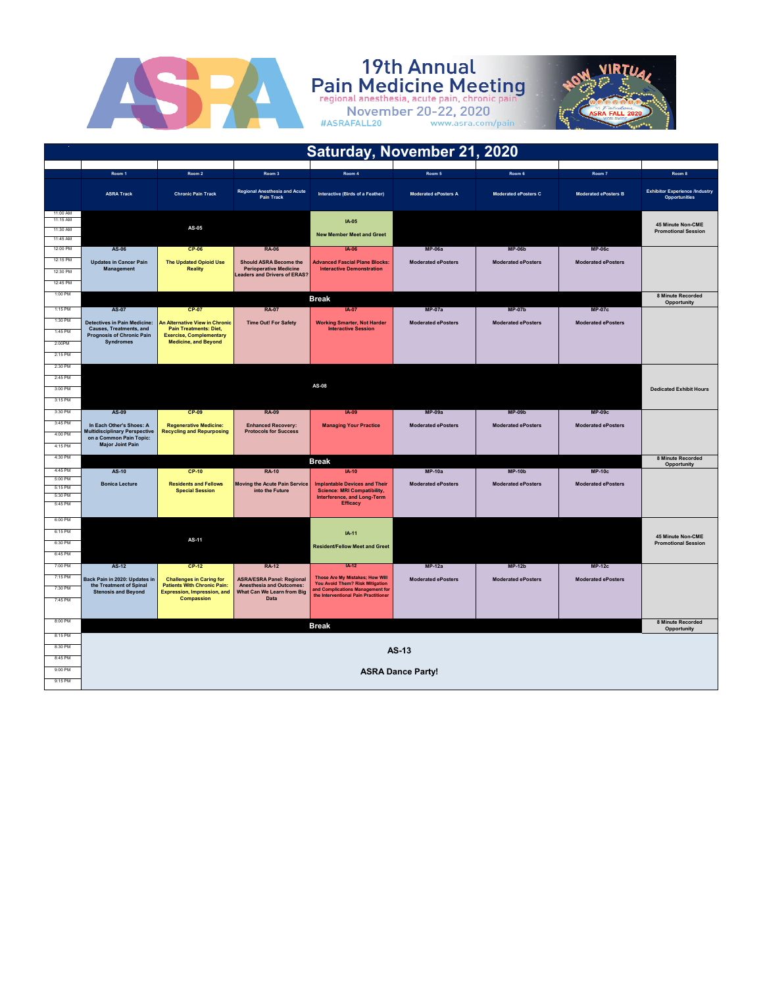

# **19th Annual**<br>Pain Medicine Meeting<br>regional anesthesia, acute pain, chronic pain<br>November 20-22, 2020<br>#ASRAFALL20 www.asra.com/pain



|                                              |                                                                 |                                                                       |                                                                      | Saturday, November 21, 2020                                                                            |                             |                           |                             |                                                        |
|----------------------------------------------|-----------------------------------------------------------------|-----------------------------------------------------------------------|----------------------------------------------------------------------|--------------------------------------------------------------------------------------------------------|-----------------------------|---------------------------|-----------------------------|--------------------------------------------------------|
|                                              |                                                                 |                                                                       |                                                                      |                                                                                                        |                             |                           |                             |                                                        |
|                                              | Room 1                                                          | Room 2                                                                | Room 3                                                               | Room 4                                                                                                 | Room 5                      | Room 6                    | Room 7                      | Room 8                                                 |
|                                              | <b>ASRA Track</b>                                               | <b>Chronic Pain Track</b>                                             | Regional Anesthesia and Acute<br>Pain Track                          | Interactive (Birds of a Feather)                                                                       | <b>Moderated ePosters A</b> | Moderated ePosters C      | <b>Moderated ePosters B</b> | <b>Exhibitor Experience /Industry</b><br>Opportunities |
| 11:00 AM<br>11:15 AM<br>11:30 AM<br>11:45 AM |                                                                 | AS-05                                                                 |                                                                      | $IA-05$<br><b>New Member Meet and Greet</b>                                                            |                             |                           |                             | 45 Minute Non-CME<br><b>Promotional Session</b>        |
| 12:00 PM                                     | AS-06                                                           | <b>CP-06</b>                                                          | <b>RA-06</b>                                                         | <b>IA-06</b>                                                                                           | $MP-06a$                    | $MP-06b$                  | <b>MP-06c</b>               |                                                        |
| 12:15 PM                                     | <b>Updates in Cancer Pain</b>                                   | <b>The Updated Opioid Use</b>                                         | <b>Should ASRA Become the</b>                                        | <b>Advanced Fascial Plane Blocks:</b>                                                                  | <b>Moderated ePosters</b>   | <b>Moderated ePosters</b> | <b>Moderated ePosters</b>   |                                                        |
| 12:30 PM                                     | Management                                                      | <b>Reality</b>                                                        | <b>Perioperative Medicine</b><br><b>Leaders and Drivers of ERAS?</b> | <b>Interactive Demonstration</b>                                                                       |                             |                           |                             |                                                        |
| 12:45 PM                                     |                                                                 |                                                                       |                                                                      |                                                                                                        |                             |                           |                             |                                                        |
| $1:00$ PM                                    |                                                                 |                                                                       |                                                                      | <b>Break</b>                                                                                           |                             |                           |                             | 8 Minute Recorded<br>Opportunity                       |
| 1:15 PM                                      | AS-07                                                           | <b>CP-07</b>                                                          | <b>RA-07</b>                                                         | $IA-07$                                                                                                | $MP-07a$                    | <b>MP-07b</b>             | <b>MP-07c</b>               |                                                        |
| 1:30 PM                                      | <b>Detectives in Pain Medicine:</b>                             | An Alternative View in Chronic                                        | <b>Time Out! For Safety</b>                                          | <b>Working Smarter, Not Harder</b>                                                                     | <b>Moderated ePosters</b>   | <b>Moderated ePosters</b> | <b>Moderated ePosters</b>   |                                                        |
| 1:45 PM                                      | Causes, Treatments, and<br><b>Prognosis of Chronic Pain</b>     | <b>Pain Treatments: Diet,</b><br><b>Exercise, Complementary</b>       |                                                                      | <b>Interactive Session</b>                                                                             |                             |                           |                             |                                                        |
| 2:00PM                                       | Syndromes                                                       | <b>Medicine, and Beyond</b>                                           |                                                                      |                                                                                                        |                             |                           |                             |                                                        |
| $2.15$ PM                                    |                                                                 |                                                                       |                                                                      |                                                                                                        |                             |                           |                             |                                                        |
| 2:30 PM                                      |                                                                 |                                                                       |                                                                      |                                                                                                        |                             |                           |                             |                                                        |
| 2:45 PM                                      |                                                                 |                                                                       |                                                                      | AS-08                                                                                                  |                             |                           |                             |                                                        |
| 3:00 PM                                      |                                                                 |                                                                       |                                                                      |                                                                                                        |                             |                           |                             | <b>Dedicated Exhibit Hours</b>                         |
| 3:15 PM                                      |                                                                 |                                                                       |                                                                      |                                                                                                        |                             |                           |                             |                                                        |
| 3:30 PM                                      | AS-09                                                           | $CP-09$                                                               | <b>RA-09</b>                                                         | IA-09                                                                                                  | $MP-09a$                    | $MP-09b$                  | <b>MP-09c</b>               |                                                        |
| 3:45 PM                                      | In Each Other's Shoes: A                                        | <b>Regenerative Medicine:</b>                                         | <b>Enhanced Recovery:</b>                                            | <b>Managing Your Practice</b>                                                                          | <b>Moderated ePosters</b>   | <b>Moderated ePosters</b> | <b>Moderated ePosters</b>   |                                                        |
| 4:00 PM                                      | <b>Multidisciplinary Perspective</b><br>on a Common Pain Topic: | <b>Recycling and Repurposing</b>                                      | <b>Protocols for Success</b>                                         |                                                                                                        |                             |                           |                             |                                                        |
| 4:15 PM                                      | <b>Major Joint Pain</b>                                         |                                                                       |                                                                      |                                                                                                        |                             |                           |                             |                                                        |
| 4:30 PM                                      |                                                                 |                                                                       |                                                                      | <b>Break</b>                                                                                           |                             |                           |                             | 8 Minute Recorded<br>Opportunity                       |
| 4:45 PM                                      | <b>AS-10</b>                                                    | $CP-10$                                                               | <b>RA-10</b>                                                         | $IA-10$                                                                                                | $MP-10a$                    | $MP-10h$                  | $MP-10c$                    |                                                        |
| 5:00 PM<br>5:15 PM                           | <b>Bonica Lecture</b>                                           | <b>Residents and Fellows</b>                                          | <b>Moving the Acute Pain Service</b>                                 | <b>Implantable Devices and Their</b>                                                                   | <b>Moderated ePosters</b>   | <b>Moderated ePosters</b> | <b>Moderated ePosters</b>   |                                                        |
| 5:30 PM                                      |                                                                 | <b>Special Session</b>                                                | into the Future                                                      | <b>Science: MRI Compatibility,</b><br>Interference, and Long-Term                                      |                             |                           |                             |                                                        |
| 5:45 PM                                      |                                                                 |                                                                       |                                                                      | <b>Efficacy</b>                                                                                        |                             |                           |                             |                                                        |
| 6:00 PM                                      |                                                                 |                                                                       |                                                                      |                                                                                                        |                             |                           |                             |                                                        |
| 6:15 PM                                      |                                                                 |                                                                       |                                                                      | $IA-11$                                                                                                |                             |                           |                             | <b>45 Minute Non-CME</b>                               |
| 6:30 PM                                      |                                                                 | AS-11                                                                 |                                                                      | <b>Resident/Fellow Meet and Greet</b>                                                                  |                             |                           |                             | <b>Promotional Session</b>                             |
| 6:45 PM                                      |                                                                 |                                                                       |                                                                      |                                                                                                        |                             |                           |                             |                                                        |
| 7:00 PM<br>7:15 PM                           | <b>AS-12</b>                                                    | CP-12                                                                 | <b>RA-12</b>                                                         | $IA-12$                                                                                                | $MP-12a$                    | $MP-12h$                  | $MP-12c$                    |                                                        |
| 7:30 PM                                      | Back Pain in 2020: Updates in<br>the Treatment of Spinal        | <b>Challenges in Caring for</b><br><b>Patients With Chronic Pain:</b> | <b>ASRA/ESRA Panel: Regional</b><br><b>Anesthesia and Outcomes:</b>  | Those Are My Mistakes; How Will<br>You Avoid Them? Risk Mitigation<br>and Complications Management for | <b>Moderated ePosters</b>   | <b>Moderated ePosters</b> | <b>Moderated ePosters</b>   |                                                        |
| 7:45 PM                                      | <b>Stenosis and Beyond</b>                                      | <b>Expression, Impression, and</b><br>Compassion                      | What Can We Learn from Big<br>Data                                   | the Interventional Pain Practitioner                                                                   |                             |                           |                             |                                                        |
|                                              |                                                                 |                                                                       |                                                                      |                                                                                                        |                             |                           |                             |                                                        |
| 8:00 PM                                      |                                                                 |                                                                       |                                                                      | <b>Break</b>                                                                                           |                             |                           |                             | 8 Minute Recorded                                      |
| 8:15 PM                                      |                                                                 |                                                                       |                                                                      |                                                                                                        |                             |                           |                             | Opportunity                                            |
| 8:30 PM                                      |                                                                 |                                                                       |                                                                      |                                                                                                        | $AS-13$                     |                           |                             |                                                        |
| 8:45 PM                                      |                                                                 |                                                                       |                                                                      |                                                                                                        |                             |                           |                             |                                                        |
| 9:00 PM                                      |                                                                 |                                                                       |                                                                      |                                                                                                        | <b>ASRA Dance Party!</b>    |                           |                             |                                                        |
| 9:15 PM                                      |                                                                 |                                                                       |                                                                      |                                                                                                        |                             |                           |                             |                                                        |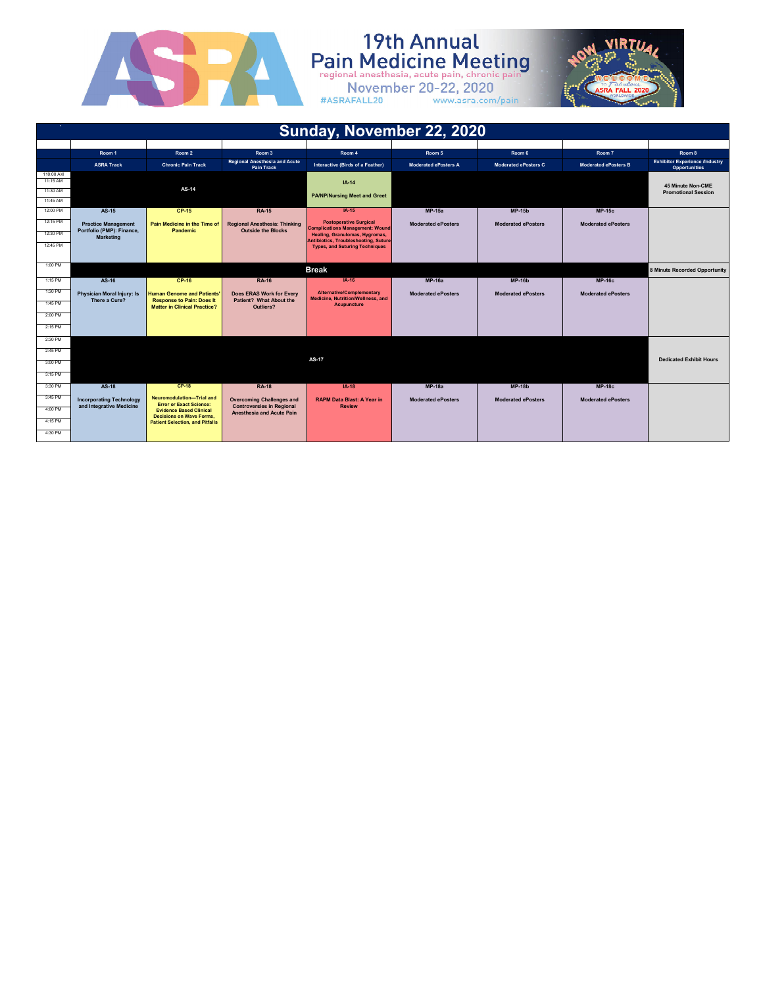

# **19th Annual**<br>Pain Medicine Meeting



| November 20-22, 2020 |  |                   |  |
|----------------------|--|-------------------|--|
| #ASRAFALL20          |  | www.asra.com/pain |  |

|                       | Sunday, November 22, 2020                   |                                                                         |                                                               |                                                                          |                             |                             |                             |                                                               |
|-----------------------|---------------------------------------------|-------------------------------------------------------------------------|---------------------------------------------------------------|--------------------------------------------------------------------------|-----------------------------|-----------------------------|-----------------------------|---------------------------------------------------------------|
|                       |                                             |                                                                         |                                                               |                                                                          |                             |                             |                             |                                                               |
|                       | Room 1                                      | Room <sub>2</sub>                                                       | Room 3                                                        | Room 4                                                                   | Room 5                      | Room 6                      | Room 7                      | Room 8                                                        |
|                       | <b>ASRA Track</b>                           | <b>Chronic Pain Track</b>                                               | <b>Regional Anesthesia and Acute</b><br><b>Pain Track</b>     | Interactive (Birds of a Feather)                                         | <b>Moderated ePosters A</b> | <b>Moderated ePosters C</b> | <b>Moderated ePosters B</b> | <b>Exhibitor Experience /Industry</b><br><b>Opportunities</b> |
| 110:00 AM<br>11:15 AM |                                             |                                                                         |                                                               |                                                                          |                             |                             |                             |                                                               |
| 11:30 AM              |                                             | AS-14                                                                   |                                                               | $IA-14$                                                                  |                             |                             |                             | 45 Minute Non-CME                                             |
| 11:45 AM              |                                             |                                                                         |                                                               | <b>PA/NP/Nursing Meet and Greet</b>                                      |                             |                             |                             | <b>Promotional Session</b>                                    |
| 12:00 PM              | AS-15                                       | CP-15                                                                   | <b>RA-15</b>                                                  | $IA-15$                                                                  | <b>MP-15a</b>               | <b>MP-15b</b>               | $MP-15c$                    |                                                               |
| 12:15 PM              | <b>Practice Management</b>                  | Pain Medicine in the Time of                                            | Regional Anesthesia: Thinking                                 | <b>Postoperative Surgical</b>                                            | <b>Moderated ePosters</b>   | <b>Moderated ePosters</b>   | <b>Moderated ePosters</b>   |                                                               |
| 12:30 PM              | Portfolio (PMP): Finance,                   | Pandemic                                                                | <b>Outside the Blocks</b>                                     | <b>Complications Management: Wound</b><br>Healing, Granulomas, Hygromas, |                             |                             |                             |                                                               |
|                       | <b>Marketing</b>                            |                                                                         |                                                               | <b>Antibiotics, Troubleshooting, Suture</b>                              |                             |                             |                             |                                                               |
| 12:45 PM              |                                             |                                                                         |                                                               | <b>Types, and Suturing Techniques</b>                                    |                             |                             |                             |                                                               |
|                       |                                             |                                                                         |                                                               |                                                                          |                             |                             |                             |                                                               |
| 1:00 PM               |                                             |                                                                         |                                                               | <b>Break</b>                                                             |                             |                             |                             | 8 Minute Recorded Opportunity                                 |
| 1:15 PM               | AS-16                                       | CP-16                                                                   | <b>RA-16</b>                                                  | IA-16                                                                    | $MP-16a$                    | <b>MP-16b</b>               | <b>MP-16c</b>               |                                                               |
| 1:30 PM               | Physician Moral Injury: Is<br>There a Cure? | <b>Human Genome and Patients'</b>                                       | Does ERAS Work for Every                                      | <b>Alternative/Complementary</b><br>Medicine, Nutrition/Wellness, and    | <b>Moderated ePosters</b>   | <b>Moderated ePosters</b>   | <b>Moderated ePosters</b>   |                                                               |
| 1:45 PM               |                                             | <b>Response to Pain: Does It</b><br><b>Matter in Clinical Practice?</b> | Patient? What About the<br>Outliers?                          | <b>Acupuncture</b>                                                       |                             |                             |                             |                                                               |
| 2:00 PM               |                                             |                                                                         |                                                               |                                                                          |                             |                             |                             |                                                               |
| 2:15 PM               |                                             |                                                                         |                                                               |                                                                          |                             |                             |                             |                                                               |
| 2:30 PM               |                                             |                                                                         |                                                               |                                                                          |                             |                             |                             |                                                               |
| 2:45 PM               |                                             |                                                                         |                                                               |                                                                          |                             |                             |                             |                                                               |
| 3:00 PM               |                                             |                                                                         |                                                               | AS-17                                                                    |                             |                             |                             | <b>Dedicated Exhibit Hours</b>                                |
| 3:15 PM               |                                             |                                                                         |                                                               |                                                                          |                             |                             |                             |                                                               |
| 3:30 PM               | <b>AS-18</b>                                | $CP-18$                                                                 | <b>RA-18</b>                                                  | $IA-18$                                                                  | $MP-18a$                    | $MP-18b$                    | <b>MP-18c</b>               |                                                               |
| 3:45 PM               | <b>Incorporating Technology</b>             | Neuromodulation-Trial and<br><b>Error or Exact Science:</b>             | <b>Overcoming Challenges and</b>                              | <b>RAPM Data Blast: A Year in</b>                                        | <b>Moderated ePosters</b>   | <b>Moderated ePosters</b>   | <b>Moderated ePosters</b>   |                                                               |
| 4:00 PM               | and Integrative Medicine                    | <b>Evidence Based Clinical</b><br><b>Decisions on Wave Forms.</b>       | <b>Controversies in Regional</b><br>Anesthesia and Acute Pain | <b>Review</b>                                                            |                             |                             |                             |                                                               |
| 4:15 PM               |                                             | <b>Patient Selection, and Pitfalls</b>                                  |                                                               |                                                                          |                             |                             |                             |                                                               |
| 4:30 PM               |                                             |                                                                         |                                                               |                                                                          |                             |                             |                             |                                                               |
|                       |                                             |                                                                         |                                                               |                                                                          |                             |                             |                             |                                                               |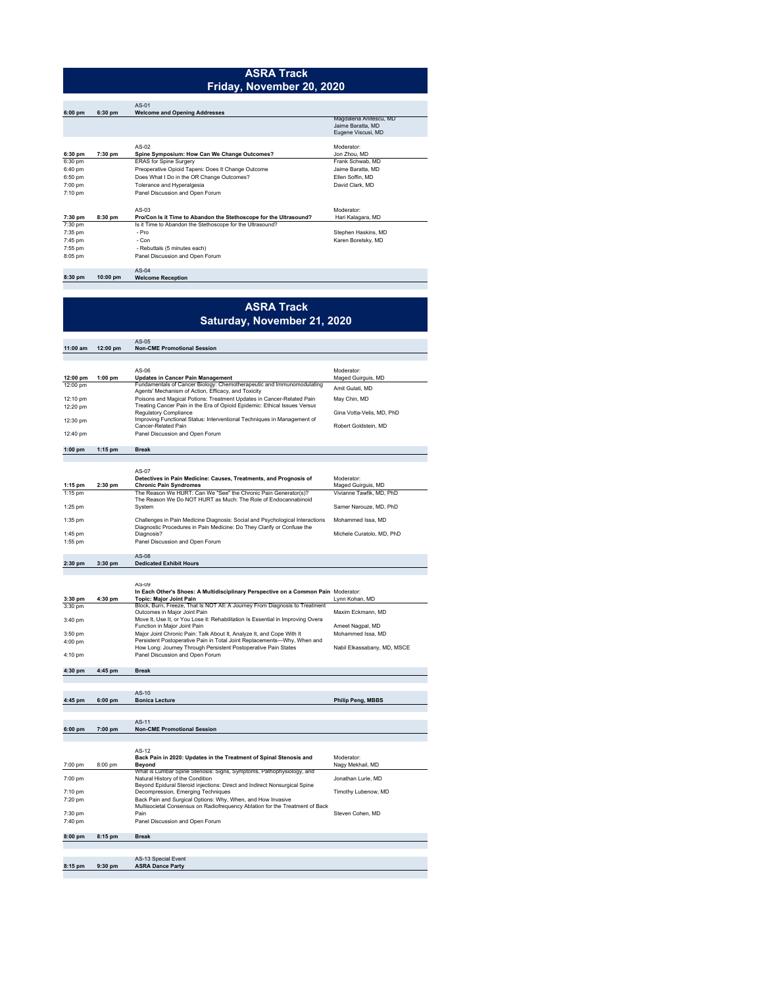#### **ASRA Track Friday, November 20, 2020**

|           |           | $AS-01$                                                           |                        |
|-----------|-----------|-------------------------------------------------------------------|------------------------|
| $6:00$ pm | $6:30$ pm | <b>Welcome and Opening Addresses</b>                              |                        |
|           |           |                                                                   | Magdalena Anitescu, MD |
|           |           |                                                                   | Jaime Baratta, MD      |
|           |           |                                                                   | Eugene Viscusi, MD     |
|           |           |                                                                   |                        |
|           |           | AS-02                                                             | Moderator:             |
| 6:30 pm   | 7:30 pm   | Spine Symposium: How Can We Change Outcomes?                      | Jon Zhou, MD           |
| 6:30 pm   |           | <b>ERAS</b> for Spine Surgery                                     | Frank Schwab, MD       |
| 6:40 pm   |           | Preoperative Opioid Tapers: Does It Change Outcome                | Jaime Baratta, MD      |
| 6:50 pm   |           | Does What I Do in the OR Change Outcomes?                         | Ellen Soffin, MD       |
| 7:00 pm   |           | Tolerance and Hyperalgesia                                        | David Clark, MD        |
| 7:10 pm   |           | Panel Discussion and Open Forum                                   |                        |
|           |           | $AS-0.3$                                                          | Moderator:             |
| 7:30 pm   | 8:30 pm   | Pro/Con Is it Time to Abandon the Stethoscope for the Ultrasound? | Hari Kalagara, MD      |
| 7:30 pm   |           | Is it Time to Abandon the Stethoscope for the Ultrasound?         |                        |
| 7:35 pm   |           | $-$ Pro                                                           | Stephen Haskins, MD    |
| 7:45 pm   |           | - Con                                                             | Karen Boretsky, MD     |
| 7:55 pm   |           | - Rebuttals (5 minutes each)                                      |                        |
| 8:05 pm   |           | Panel Discussion and Open Forum                                   |                        |
|           |           | $AS-04$                                                           |                        |
| 8:30 pm   | 10:00 pm  | <b>Welcome Reception</b>                                          |                        |

# **ASRA Track Saturday, November 21, 2020**

| 11:00 am           | 12:00 pm  | AS-05<br><b>Non-CME Promotional Session</b>                                                                                                      |                             |
|--------------------|-----------|--------------------------------------------------------------------------------------------------------------------------------------------------|-----------------------------|
|                    |           |                                                                                                                                                  |                             |
|                    |           | AS-06                                                                                                                                            | Moderator:                  |
| 12:00 pm           | 1:00 pm   | <b>Updates in Cancer Pain Management</b>                                                                                                         | Maged Guirguis, MD          |
| 12:00 pm           |           | Fundamentals of Cancer Biology: Chemotherapeutic and Immunomodulating                                                                            | Amit Gulati, MD             |
| 12:10 pm           |           | Agents' Mechanism of Action, Efficacy, and Toxicity<br>Poisons and Magical Potions: Treatment Updates in Cancer-Related Pain                     | May Chin, MD                |
| 12:20 pm           |           | Treating Cancer Pain in the Era of Opioid Epidemic: Ethical Issues Versus                                                                        |                             |
| 12:30 pm           |           | <b>Regulatory Compliance</b><br>Improving Functional Status: Interventional Techniques in Management of                                          | Gina Votta-Velis, MD, PhD   |
|                    |           | Cancer-Related Pain                                                                                                                              | Robert Goldstein, MD        |
| 12:40 pm           |           | Panel Discussion and Open Forum                                                                                                                  |                             |
| $1:00$ pm          | 1:15 pm   | <b>Break</b>                                                                                                                                     |                             |
|                    |           |                                                                                                                                                  |                             |
|                    |           | $AS-U/$                                                                                                                                          |                             |
|                    |           | Detectives in Pain Medicine: Causes, Treatments, and Prognosis of                                                                                | Moderator:                  |
| 1:15 pm            | 2:30 pm   | <b>Chronic Pain Syndromes</b>                                                                                                                    | Maged Guirguis, MD          |
| $1:15$ pm          |           | The Reason We HURT: Can We "See" the Chronic Pain Generator(s)?<br>The Reason We Do NOT HURT as Much: The Role of Endocannabinoid                | Vivianne Tawfik, MD, PhD    |
| 1:25 pm            |           | System                                                                                                                                           | Samer Narouze, MD, PhD      |
| $1:35$ pm          |           | Challenges in Pain Medicine Diagnosis: Social and Psychological Interactions                                                                     | Mohammed Issa, MD           |
|                    |           | Diagnostic Procedures in Pain Medicine: Do They Clarify or Confuse the                                                                           |                             |
| 1:45 pm            |           | Diagnosis?                                                                                                                                       | Michele Curatolo, MD, PhD   |
| $1:55$ pm          |           | Panel Discussion and Open Forum                                                                                                                  |                             |
|                    |           | $AS-08$                                                                                                                                          |                             |
| 2:30 pm            | 3:30 pm   | <b>Dedicated Exhibit Hours</b>                                                                                                                   |                             |
|                    |           |                                                                                                                                                  |                             |
|                    |           | AS-09<br>In Each Other's Shoes: A Multidisciplinary Perspective on a Common Pain Moderator:                                                      |                             |
| 3:30 pm            | 4:30 pm   | <b>Topic: Major Joint Pain</b>                                                                                                                   | Lynn Kohan, MD              |
| 3:30 pm            |           | Block, Burn, Freeze, That Is NOT All: A Journey From Diagnosis to Treatment<br>Outcomes in Maior Joint Pain                                      | Maxim Eckmann, MD           |
| 3:40 pm            |           | Move It, Use It, or You Lose it: Rehabilitation Is Essential in Improving Overa                                                                  |                             |
|                    |           | Function in Major Joint Pain                                                                                                                     | Ameet Nagpal, MD            |
| 3:50 pm<br>4:00 pm |           | Major Joint Chronic Pain: Talk About It, Analyze It, and Cope With It<br>Persistent Postoperative Pain in Total Joint Replacements-Why, When and | Mohammed Issa, MD           |
|                    |           | How Long: Journey Through Persistent Postoperative Pain States                                                                                   | Nabil Elkassabany, MD, MSCE |
| 4:10 pm            |           | Panel Discussion and Open Forum                                                                                                                  |                             |
| 4:30 pm            | 4:45 pm   | <b>Break</b>                                                                                                                                     |                             |
|                    |           |                                                                                                                                                  |                             |
|                    |           | $AS-10$                                                                                                                                          |                             |
| 4:45 pm            | $6:00$ pm | <b>Bonica Lecture</b>                                                                                                                            | <b>Philip Peng, MBBS</b>    |
|                    |           |                                                                                                                                                  |                             |
|                    |           | $AS-11$                                                                                                                                          |                             |
| 6:00 pm            | 7:00 pm   | <b>Non-CME Promotional Session</b>                                                                                                               |                             |
|                    |           |                                                                                                                                                  |                             |
|                    |           | AS-12<br>Back Pain in 2020: Updates in the Treatment of Spinal Stenosis and                                                                      | Moderator:                  |
| 7:00 pm            | 8:00 pm   | Beyond                                                                                                                                           | Nagy Mekhail, MD            |
| 7:00 pm            |           | What is Lumbar Spine Stenosis: Signs, Symptoms, Pathophysiology, and<br>Natural History of the Condition                                         | Jonathan Lurie, MD          |
|                    |           | Beyond Epidural Steroid injections: Direct and Indirect Nonsurgical Spine                                                                        |                             |
| 7:10 pm            |           | Decompression, Emerging Techniques                                                                                                               | Timothy Lubenow, MD         |
| 7:20 pm            |           | Back Pain and Surgical Options: Why, When, and How Invasive<br>Multisocietal Consensus on Radiofrequency Ablation for the Treatment of Back      |                             |
| 7:30 pm            |           | Pain                                                                                                                                             | Steven Cohen, MD            |
| 7:40 pm            |           | Panel Discussion and Open Forum                                                                                                                  |                             |
| 8:00 pm            | 8:15 pm   | <b>Break</b>                                                                                                                                     |                             |
|                    |           |                                                                                                                                                  |                             |
|                    |           | <b>AS-13 Special Event</b>                                                                                                                       |                             |
| 8:15 pm            | 9:30 pm   | <b>ASRA Dance Party</b>                                                                                                                          |                             |
|                    |           |                                                                                                                                                  |                             |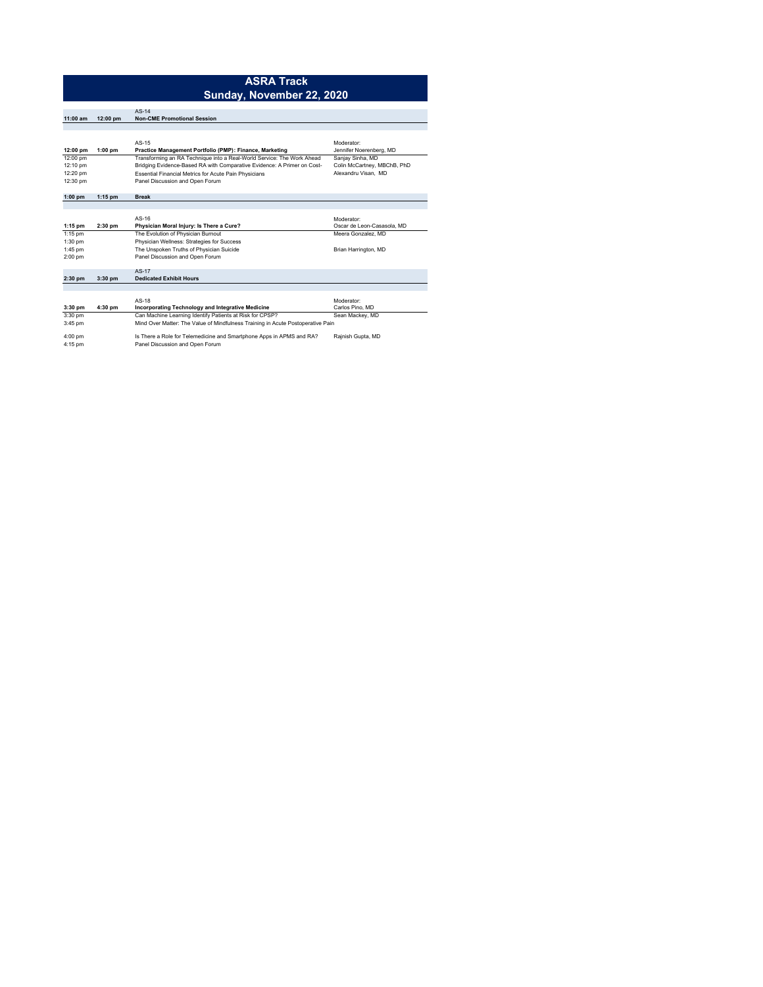|                      |           | <b>ASRA Track</b>                                                                |                                          |
|----------------------|-----------|----------------------------------------------------------------------------------|------------------------------------------|
|                      |           | Sunday, November 22, 2020                                                        |                                          |
|                      |           |                                                                                  |                                          |
| $11:00$ am           | 12:00 pm  | $AS-14$<br><b>Non-CME Promotional Session</b>                                    |                                          |
|                      |           |                                                                                  |                                          |
|                      |           |                                                                                  |                                          |
|                      |           | $AS-15$                                                                          | Moderator:                               |
| 12:00 pm             | $1:00$ pm | Practice Management Portfolio (PMP): Finance, Marketing                          | Jennifer Noerenberg, MD                  |
| 12:00 pm             |           | Transforming an RA Technique into a Real-World Service: The Work Ahead           | Sanjay Sinha, MD                         |
| 12:10 pm             |           | Bridging Evidence-Based RA with Comparative Evidence: A Primer on Cost-          | Colin McCartney, MBChB, PhD              |
| 12:20 pm             |           | Essential Financial Metrics for Acute Pain Physicians                            | Alexandru Visan, MD                      |
| 12:30 pm             |           | Panel Discussion and Open Forum                                                  |                                          |
|                      |           |                                                                                  |                                          |
| $1:00$ pm            | $1:15$ pm | <b>Break</b>                                                                     |                                          |
|                      |           |                                                                                  |                                          |
|                      |           |                                                                                  |                                          |
|                      |           | $AS-16$                                                                          | Moderator:<br>Oscar de Leon-Casasola, MD |
| $1:15$ pm            | $2:30$ pm | Physician Moral Injury: Is There a Cure?                                         | Meera Gonzalez, MD                       |
| 1:15 pm<br>$1:30$ pm |           | The Evolution of Physician Burnout<br>Physician Wellness: Strategies for Success |                                          |
|                      |           |                                                                                  |                                          |
| 1:45 pm              |           | The Unspoken Truths of Physician Suicide                                         | Brian Harrington, MD                     |
| 2:00 pm              |           | Panel Discussion and Open Forum                                                  |                                          |
|                      |           | $AS-17$                                                                          |                                          |
| $2:30$ pm            | $3:30$ pm | <b>Dedicated Exhibit Hours</b>                                                   |                                          |
|                      |           |                                                                                  |                                          |
|                      |           |                                                                                  |                                          |
|                      |           | $AS-18$                                                                          | Moderator:                               |
| $3:30$ pm            | 4:30 pm   | <b>Incorporating Technology and Integrative Medicine</b>                         | Carlos Pino, MD                          |
| 3:30 pm              |           | Can Machine Learning Identify Patients at Risk for CPSP?                         | Sean Mackey, MD                          |
| 3:45 pm              |           | Mind Over Matter: The Value of Mindfulness Training in Acute Postoperative Pain  |                                          |
| 4:00~nm              |           | Is There a Role for Telemedicine and Smartphone Anns in APMS and RA?             | Rainish Gunta MD                         |

4:00 pm Is There a Role for Telemedicine and Smartphone Apps in APMS and RA? Rajnish Gupta, MD 4:15 pm Panel Discussion and Open Forum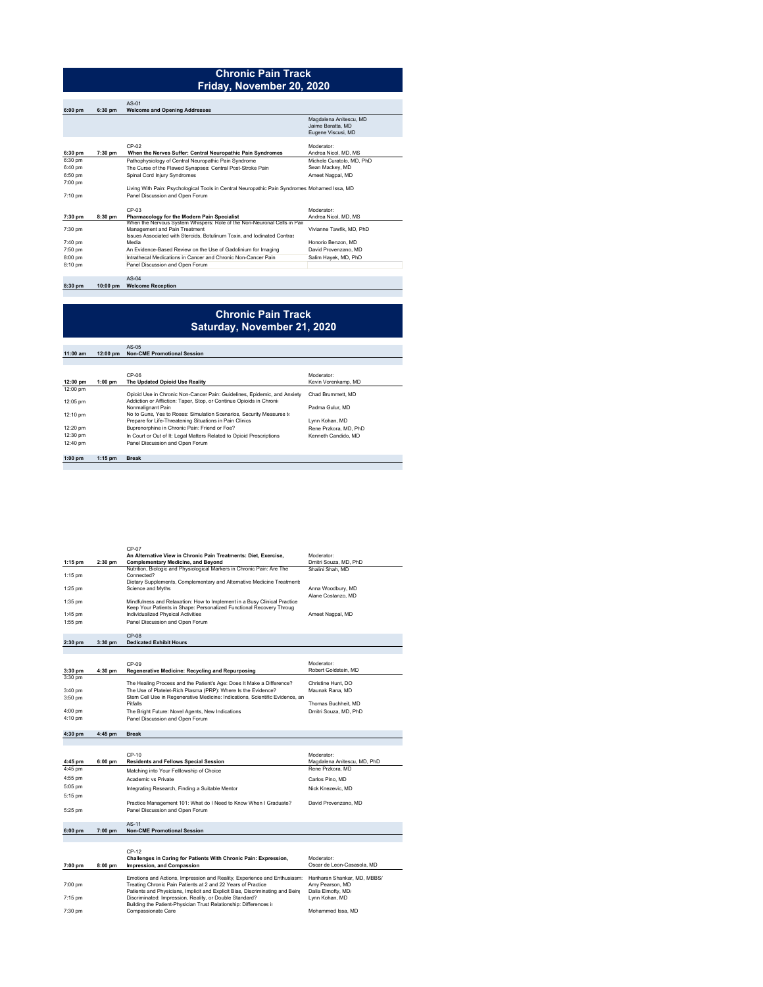## **Chronic Pain Track Friday, November 20, 2020**

|           |           | $AS-01$                                                                                      |                           |
|-----------|-----------|----------------------------------------------------------------------------------------------|---------------------------|
| $6:00$ pm | $6:30$ pm | <b>Welcome and Opening Addresses</b>                                                         |                           |
|           |           |                                                                                              | Magdalena Anitescu, MD    |
|           |           |                                                                                              | Jaime Baratta, MD         |
|           |           |                                                                                              | Eugene Viscusi, MD        |
|           |           | $CP-02$                                                                                      | Moderator:                |
|           |           |                                                                                              |                           |
| 6:30 pm   | 7:30 pm   | When the Nerves Suffer: Central Neuropathic Pain Syndromes                                   | Andrea Nicol. MD. MS      |
| 6:30 pm   |           | Pathophysiology of Central Neuropathic Pain Syndrome                                         | Michele Curatolo, MD, PhD |
| 6:40 pm   |           | The Curse of the Flawed Synapses: Central Post-Stroke Pain                                   | Sean Mackey, MD           |
| 6:50 pm   |           | Spinal Cord Injury Syndromes                                                                 | Ameet Nagpal, MD          |
| 7:00 pm   |           |                                                                                              |                           |
|           |           | Living With Pain: Psychological Tools in Central Neuropathic Pain Syndromes Mohamed Issa. MD |                           |
| 7:10 pm   |           | Panel Discussion and Open Forum                                                              |                           |
|           |           | CP-03                                                                                        | Moderator:                |
| 7:30 pm   | 8:30 pm   | Pharmacology for the Modern Pain Specialist                                                  | Andrea Nicol. MD. MS      |
|           |           | When the Nervous System Whispers: Role of the Non-Neuronal Cells in Pair                     |                           |
| 7:30 pm   |           | Management and Pain Treatment                                                                | Vivianne Tawfik, MD, PhD  |
|           |           | Issues Associated with Steroids, Botulinum Toxin, and Iodinated Contras                      |                           |
| 7:40 pm   |           | Media                                                                                        | Honorio Benzon, MD        |
| 7:50 pm   |           | An Evidence-Based Review on the Use of Gadolinium for Imaging                                | David Provenzano, MD      |
| 8:00 pm   |           | Intrathecal Medications in Cancer and Chronic Non-Cancer Pain                                | Salim Hayek, MD, PhD      |
| 8:10 pm   |           | Panel Discussion and Open Forum                                                              |                           |
|           |           | $AS-04$                                                                                      |                           |
| 8:30 pm   | 10:00 pm  | <b>Welcome Reception</b>                                                                     |                           |

#### **Chronic Pain Track Saturday, November 21, 2020**

**11:00 am 12:00 pm**  AS-05 **Non-CME Promotional Session**

|           |           | $CP-06$                                                                  | Moderator             |
|-----------|-----------|--------------------------------------------------------------------------|-----------------------|
| 12:00 pm  | $1:00$ pm | The Updated Opioid Use Reality                                           | Kevin Vorenkamp, MD   |
| 12:00 pm  |           |                                                                          |                       |
|           |           | Opioid Use in Chronic Non-Cancer Pain: Guidelines, Epidemic, and Anxiety | Chad Brummett, MD     |
| 12:05 pm  |           | Addiction or Affliction: Taper, Stop, or Continue Opioids in Chronio     |                       |
|           |           | Nonmalignant Pain                                                        | Padma Gulur, MD       |
| 12:10 pm  |           | No to Guns, Yes to Roses: Simulation Scenarios, Security Measures to     |                       |
|           |           | Prepare for Life-Threatening Situations in Pain Clinics                  | Lynn Kohan, MD        |
| 12:20 pm  |           | Buprenorphine in Chronic Pain: Friend or Foe?                            | Rene Przkora, MD, PhD |
| 12:30 pm  |           | In Court or Out of It: Legal Matters Related to Opioid Prescriptions     | Kenneth Candido, MD   |
| 12:40 pm  |           | Panel Discussion and Open Forum                                          |                       |
|           |           |                                                                          |                       |
| $1:00$ pm | $1:15$ pm | <b>Break</b>                                                             |                       |

|           |           | $CP-07$                                                                  |                       |
|-----------|-----------|--------------------------------------------------------------------------|-----------------------|
|           |           | An Alternative View in Chronic Pain Treatments: Diet. Exercise.          | Moderator:            |
| 1:15 pm   | $2:30$ pm | <b>Complementary Medicine, and Bevond</b>                                | Dmitri Souza, MD, PhD |
|           |           | Nutrition, Biologic and Physiological Markers in Chronic Pain: Are The   | Shalini Shah, MD      |
| $1:15$ pm |           | Connected?                                                               |                       |
|           |           | Dietary Supplements, Complementary and Alternative Medicine Treatments   |                       |
| $1:25$ pm |           | Science and Myths                                                        | Anna Woodbury, MD     |
|           |           |                                                                          | Alane Costanzo, MD    |
| 1:35 pm   |           | Mindfulness and Relaxation: How to Implement in a Busy Clinical Practice |                       |
|           |           | Keep Your Patients in Shape: Personalized Functional Recovery Throug     |                       |
| 1:45 pm   |           | Individualized Physical Activities                                       | Ameet Nagpal, MD      |
| 1:55 pm   |           | Panel Discussion and Open Forum                                          |                       |
|           |           |                                                                          |                       |

**2:30 pm 3:30 pm**  CP-08 **Dedicated Exhibit Hours** 

|           |         | $CP-0.9$                                                                     | Moderator:            |
|-----------|---------|------------------------------------------------------------------------------|-----------------------|
| $3:30$ pm | 4:30 pm | Regenerative Medicine: Recycling and Repurposing                             | Robert Goldstein, MD  |
| 3:30 pm   |         |                                                                              |                       |
|           |         | The Healing Process and the Patient's Age: Does It Make a Difference?        | Christine Hunt, DO    |
| 3:40 pm   |         | The Use of Platelet-Rich Plasma (PRP): Where Is the Evidence?                | Maunak Rana, MD       |
| 3:50 pm   |         | Stem Cell Use in Regenerative Medicine: Indications, Scientific Evidence, an |                       |
|           |         | Pitfalls                                                                     | Thomas Buchheit. MD   |
| 4:00 pm   |         | The Bright Future: Novel Agents, New Indications                             | Dmitri Souza, MD, PhD |
| 4:10 pm   |         | Panel Discussion and Open Forum                                              |                       |

#### **4:30 pm 4:45 pm Break**

| 4:45 pm | $6:00$ pm | CP-10<br><b>Residents and Fellows Special Session</b>            | Moderator:<br>Magdalena Anitescu, MD, PhD |
|---------|-----------|------------------------------------------------------------------|-------------------------------------------|
| 4:45 pm |           | Matching into Your Felllowship of Choice                         | Rene Przkora, MD                          |
| 4:55 pm |           | Academic vs Private                                              | Carlos Pino, MD                           |
| 5:05 pm |           | Integrating Research, Finding a Suitable Mentor                  | Nick Knezevic, MD                         |
| 5:15 pm |           |                                                                  |                                           |
|         |           | Practice Management 101: What do I Need to Know When I Graduate? | David Provenzano, MD                      |
| 5:25 pm |           | Panel Discussion and Open Forum                                  |                                           |
|         |           |                                                                  |                                           |
|         |           | 10.44                                                            |                                           |

**6:00 pm 7:00 pm**  AS-11 **Non-CME Promotional Session**

| 7:00 pm   | $8:00$ pm | $CP-12$<br>Challenges in Caring for Patients With Chronic Pain: Expression.<br>Impression, and Compassion | Moderator:<br>Oscar de Leon-Casasola, MD |
|-----------|-----------|-----------------------------------------------------------------------------------------------------------|------------------------------------------|
|           |           | Emotions and Actions, Impression and Reality, Experience and Enthusiasm:                                  | Hariharan Shankar, MD, MBBS/             |
| 7:00 pm   |           | Treating Chronic Pain Patients at 2 and 22 Years of Practice                                              | Amy Pearson, MD                          |
|           |           | Patients and Physicians, Implicit and Explicit Bias, Discriminating and Bein-                             | Dalia Elmofty, MD/                       |
| $7:15$ pm |           | Discriminated: Impression, Reality, or Double Standard?                                                   | Lynn Kohan, MD                           |
|           |           | Building the Patient-Physician Trust Relationship: Differences in                                         |                                          |
| 7:30 pm   |           | Compassionate Care                                                                                        | Mohammed Issa, MD                        |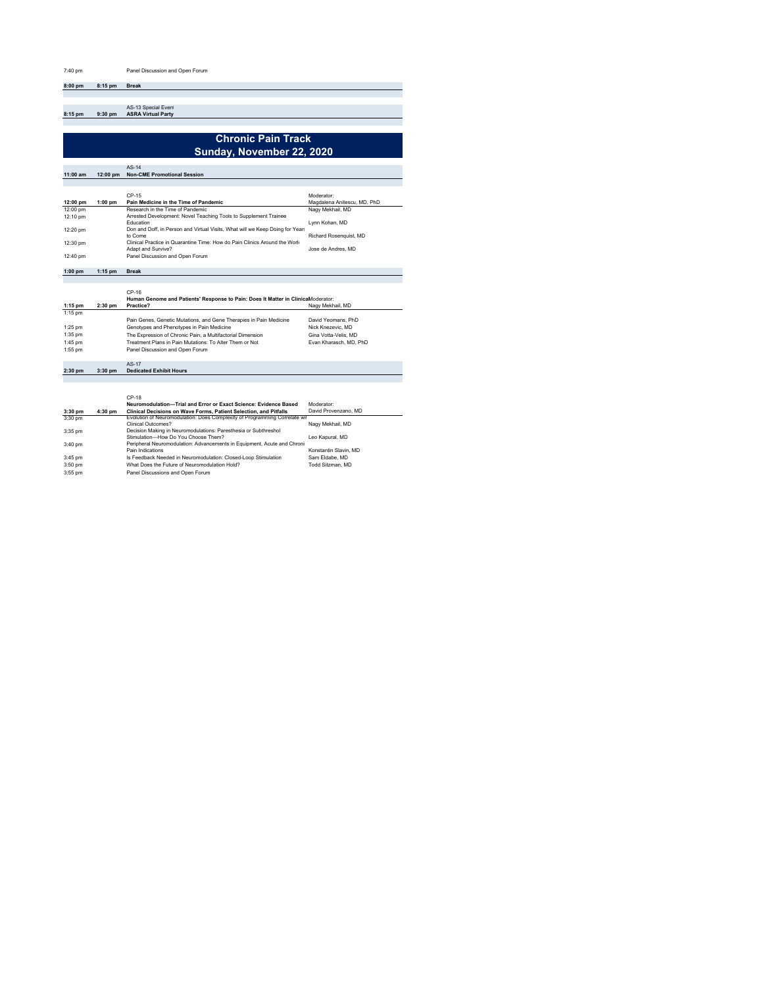**8:00 pm 8:15 pm Break**

**8:15 pm 9:30 pm**  AS-13 Special Event **ASRA Virtual Party**

# **Chronic Pain Track Sunday, November 22, 2020**

|           |            | $AS-14$                                                                       |                             |
|-----------|------------|-------------------------------------------------------------------------------|-----------------------------|
| 11:00 am  | $12:00$ pm | <b>Non-CME Promotional Session</b>                                            |                             |
|           |            |                                                                               |                             |
|           |            |                                                                               |                             |
|           |            | $CP-15$                                                                       | Moderator:                  |
| 12:00 pm  | $1:00$ pm  | Pain Medicine in the Time of Pandemic                                         | Magdalena Anitescu, MD, PhD |
| 12:00 pm  |            | Research in the Time of Pandemic.                                             | Nagy Mekhail, MD            |
| 12:10 pm  |            | Arrested Development: Novel Teaching Tools to Supplement Trainee              |                             |
|           |            | <b>Education</b>                                                              | Lynn Kohan, MD              |
| 12:20 pm  |            | Don and Doff, in Person and Virtual Visits, What will we Keep Doing for Year. |                             |
|           |            | to Come                                                                       | Richard Rosenquist, MD      |
| 12:30 pm  |            | Clinical Practice in Quarantine Time: How do Pain Clinics Around the Work     |                             |
|           |            | Adapt and Survive?                                                            | Jose de Andres, MD          |
| 12:40 pm  |            | Panel Discussion and Open Forum                                               |                             |
|           |            |                                                                               |                             |
| $1:00$ pm | $1:15$ pm  | <b>Break</b>                                                                  |                             |

|           |           | $CP-16$<br>Human Genome and Patients' Response to Pain: Does It Matter in ClinicaModerator: |                        |
|-----------|-----------|---------------------------------------------------------------------------------------------|------------------------|
| 1:15 pm   | $2:30$ pm | Practice?                                                                                   | Nagy Mekhail, MD       |
| $1:15$ pm |           |                                                                                             |                        |
|           |           | Pain Genes, Genetic Mutations, and Gene Therapies in Pain Medicine                          | David Yeomans, PhD     |
| $1:25$ pm |           | Genotypes and Phenotypes in Pain Medicine                                                   | Nick Knezevic, MD      |
| 1:35 pm   |           | The Expression of Chronic Pain, a Multifactorial Dimension                                  | Gina Votta-Velis, MD   |
| 1:45 pm   |           | Treatment Plans in Pain Mutations: To Alter Them or Not                                     | Evan Kharasch, MD, PhD |
| 1:55 pm   |           | Panel Discussion and Open Forum                                                             |                        |

#### **2:30 pm 3:30 pm**  AS-17 **Dedicated Exhibit Hours**

|           |         | $CP-18$                                                                   |                       |
|-----------|---------|---------------------------------------------------------------------------|-----------------------|
|           |         | Neuromodulation-Trial and Error or Exact Science: Evidence Based          | Moderator:            |
| $3:30$ pm | 4:30 pm | Clinical Decisions on Wave Forms, Patient Selection, and Pitfalls         | David Provenzano, MD  |
| 3:30 pm   |         | Evolution of Neuromodulation: Does Complexity of Programming Correlate wi |                       |
|           |         | Clinical Outcomes?                                                        | Nagy Mekhail, MD      |
| 3:35 pm   |         | Decision Making in Neuromodulations: Paresthesia or Subthreshol           |                       |
|           |         | Stimulation-How Do You Choose Them?                                       | Leo Kapural, MD       |
| 3:40 pm   |         | Peripheral Neuromodulation: Advancements in Equipment, Acute and Chroni.  |                       |
|           |         | Pain Indications                                                          | Konstantin Slavin, MD |
| 3:45 pm   |         | Is Feedback Needed in Neuromodulation: Closed-Loop Stimulation            | Sam Eldabe, MD        |
| 3:50 pm   |         | What Does the Future of Neuromodulation Hold?                             | Todd Sitzman, MD      |
| 3:55 pm   |         | Panel Discussions and Open Forum                                          |                       |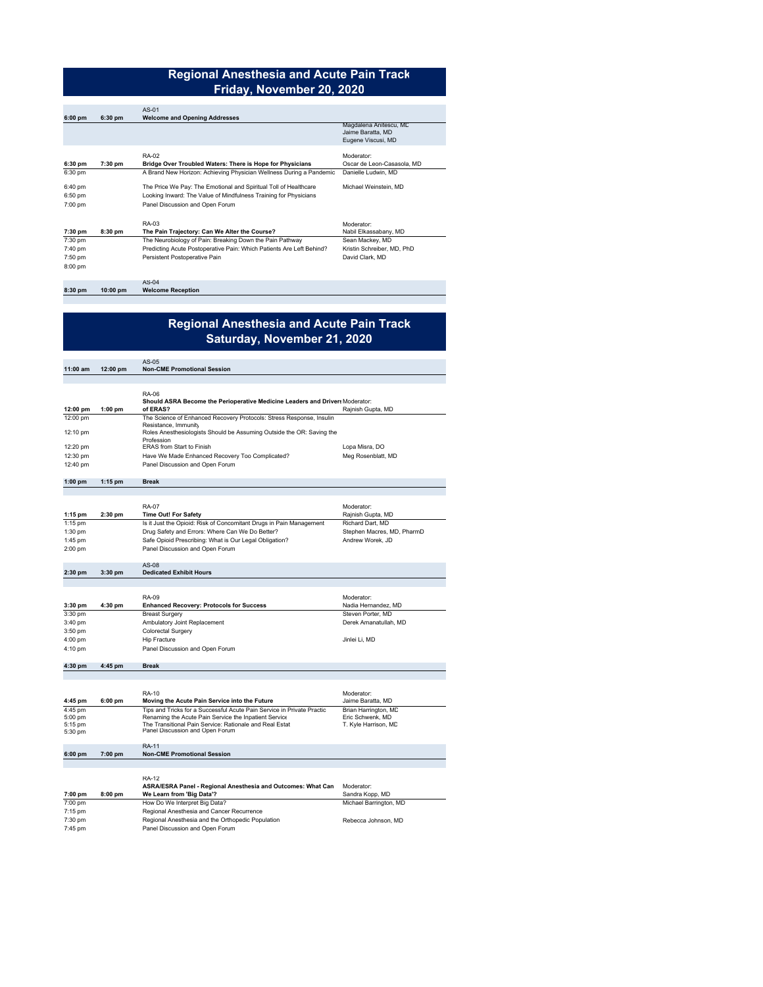# **Regional Anesthesia and Acute Pain Track Friday, November 20, 2020**

| $6:00$ pm                     | $6:30$ pm  | $AS-01$<br><b>Welcome and Opening Addresses</b>                                                                                                                         |                                                                   |
|-------------------------------|------------|-------------------------------------------------------------------------------------------------------------------------------------------------------------------------|-------------------------------------------------------------------|
|                               |            |                                                                                                                                                                         | Magdalena Anitescu, MC<br>Jaime Baratta, MD<br>Eugene Viscusi, MD |
| $6:30$ pm                     | 7:30 pm    | RA-02<br>Bridge Over Troubled Waters: There is Hope for Physicians                                                                                                      | Moderator:<br>Oscar de Leon-Casasola, MD                          |
| 6:30 pm                       |            | A Brand New Horizon: Achieving Physician Wellness During a Pandemic                                                                                                     | Danielle Ludwin, MD                                               |
| 6:40 pm<br>6:50 pm<br>7:00 pm |            | The Price We Pay: The Emotional and Spiritual Toll of Healthcare<br>Looking Inward: The Value of Mindfulness Training for Physicians<br>Panel Discussion and Open Forum | Michael Weinstein, MD                                             |
| 7:30 pm                       | 8:30 pm    | RA-03<br>The Pain Trajectory: Can We Alter the Course?                                                                                                                  | Moderator:<br>Nabil Elkassabany, MD                               |
| 7:30 pm                       |            | The Neurobiology of Pain: Breaking Down the Pain Pathway                                                                                                                | Sean Mackey, MD                                                   |
| 7:40 pm                       |            | Predicting Acute Postoperative Pain: Which Patients Are Left Behind?                                                                                                    | Kristin Schreiber, MD, PhD                                        |
| 7:50 pm                       |            | Persistent Postoperative Pain                                                                                                                                           | David Clark, MD                                                   |
| 8:00 pm                       |            |                                                                                                                                                                         |                                                                   |
|                               |            | $AS-04$                                                                                                                                                                 |                                                                   |
| $8:30$ pm                     | $10:00$ pm | <b>Welcome Reception</b>                                                                                                                                                |                                                                   |

# **Regional Anesthesia and Acute Pain Track Saturday, November 21, 2020**

| 12:00 pm  | <b>Non-CME Promotional Session</b>                                                    |                                                  |
|-----------|---------------------------------------------------------------------------------------|--------------------------------------------------|
|           |                                                                                       |                                                  |
|           | RA-06<br>Should ASRA Become the Perioperative Medicine Leaders and Drivers Moderator: |                                                  |
| $1:00$ pm |                                                                                       | Rajnish Gupta, MD                                |
|           | The Science of Enhanced Recovery Protocols: Stress Response, Insulin                  |                                                  |
|           | Roles Anesthesiologists Should be Assuming Outside the OR: Saving the<br>Profession   |                                                  |
|           | <b>FRAS</b> from Start to Finish                                                      | Lopa Misra, DO                                   |
|           | Have We Made Enhanced Recovery Too Complicated?                                       | Meg Rosenblatt, MD                               |
|           | Panel Discussion and Open Forum                                                       |                                                  |
|           |                                                                                       |                                                  |
|           | $1:15$ pm                                                                             | of ERAS?<br>Resistance, Immunity<br><b>Break</b> |

|           |           | RA-07                                                               | Moderator:                 |
|-----------|-----------|---------------------------------------------------------------------|----------------------------|
| $1:15$ pm | $2:30$ pm | <b>Time Out! For Safety</b>                                         | Rajnish Gupta, MD          |
| $1:15$ pm |           | Is it Just the Opioid: Risk of Concomitant Drugs in Pain Management | Richard Dart, MD           |
| 1:30 pm   |           | Drug Safety and Errors: Where Can We Do Better?                     | Stephen Macres, MD, PharmD |
| 1:45 pm   |           | Safe Opioid Prescribing: What is Our Legal Obligation?              | Andrew Worek, JD           |
| $2:00$ pm |           | Panel Discussion and Open Forum                                     |                            |

| $3:30$ pm | 4:30 pm | RA-09<br><b>Enhanced Recovery: Protocols for Success</b> | Moderator:<br>Nadia Hernandez, MD |
|-----------|---------|----------------------------------------------------------|-----------------------------------|
| $3:30$ pm |         | <b>Breast Surgery</b>                                    | Steven Porter, MD                 |
| 3:40 pm   |         | Ambulatory Joint Replacement                             | Derek Amanatullah, MD             |
| $3:50$ pm |         | <b>Colorectal Surgery</b>                                |                                   |
| 4:00 pm   |         | Hip Fracture                                             | Jinlei Li, MD                     |
| 4:10 pm   |         | Panel Discussion and Open Forum                          |                                   |

|                    |           | <b>RA-10</b>                                                                                                                    | Moderator:                               |
|--------------------|-----------|---------------------------------------------------------------------------------------------------------------------------------|------------------------------------------|
| 4:45 pm            | $6:00$ pm | Moving the Acute Pain Service into the Future                                                                                   | Jaime Baratta, MD                        |
| 4:45 pm<br>5:00 pm |           | Tips and Tricks for a Successful Acute Pain Service in Private Practic<br>Renaming the Acute Pain Service the Inpatient Service | Brian Harrington, MD<br>Eric Schwenk, MD |
| 5:15 pm<br>5:30 pm |           | The Transitional Pain Service: Rationale and Real Estat<br>Panel Discussion and Open Forum                                      | T. Kyle Harrison, MD                     |
|                    |           | <b>RA-11</b>                                                                                                                    |                                          |
| $6:00$ pm          | $7:00$ pm | <b>Non-CME Promotional Session</b>                                                                                              |                                          |
|                    |           |                                                                                                                                 |                                          |
|                    |           | <b>RA-12</b>                                                                                                                    |                                          |
|                    |           | ASRA/ESRA Panel - Regional Anesthesia and Outcomes: What Can                                                                    | Moderator:                               |
| 7:00 pm            | 8:00 pm   | We Learn from 'Big Data'?                                                                                                       | Sandra Kopp, MD                          |
| 7:00 pm            |           | How Do We Interpret Big Data?                                                                                                   | Michael Barrington, MD                   |
| 7:15 pm            |           | Regional Anesthesia and Cancer Recurrence                                                                                       |                                          |
| 7:30 pm            |           | Regional Anesthesia and the Orthopedic Population                                                                               | Rebecca Johnson, MD                      |
| 7:45 pm            |           | Panel Discussion and Open Forum                                                                                                 |                                          |

AS-08 **Dedicated Exhibit Hours** 

AS-05

**2:30 pm 3:30 pm** 

**4:30 pm 4:45 pm Break**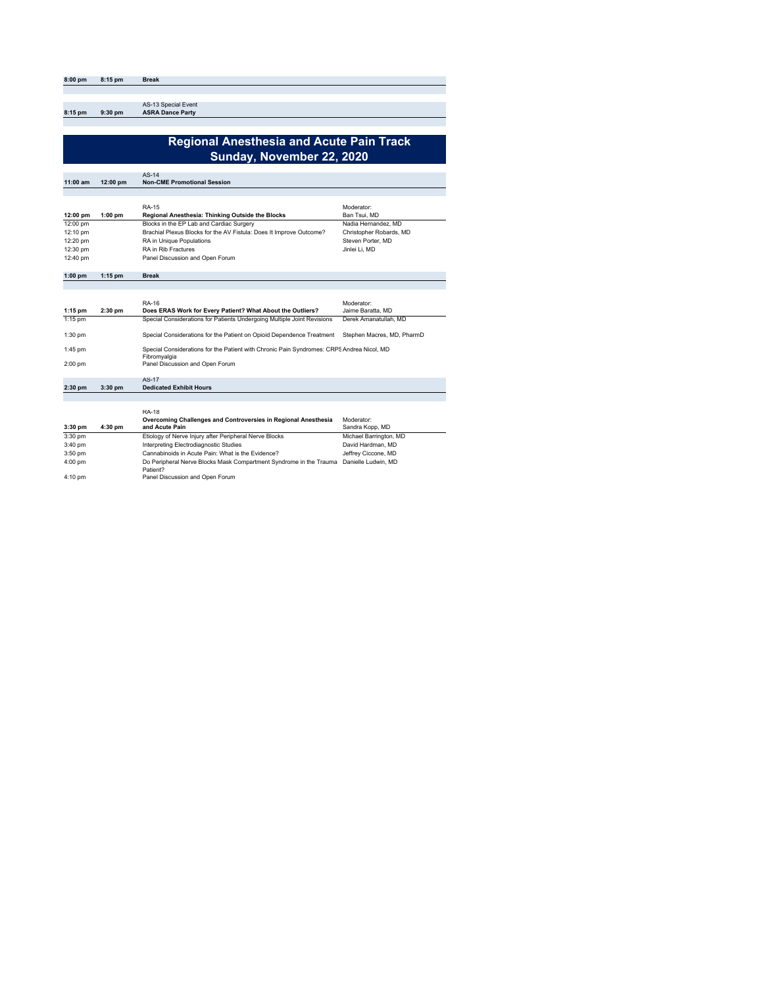| 8:00 pm | 8:15 pm   | <b>Break</b>                                   |
|---------|-----------|------------------------------------------------|
|         |           |                                                |
|         |           |                                                |
| 8:15 pm | $9:30$ pm | AS-13 Special Event<br><b>ASRA Dance Party</b> |

## **Regional Anesthesia and Acute Pain Track Sunday, November 22, 2020**

|            |                    | $AS-14$                                                             |                         |
|------------|--------------------|---------------------------------------------------------------------|-------------------------|
| $11:00$ am | $12:00 \text{ pm}$ | <b>Non-CME Promotional Session</b>                                  |                         |
|            |                    |                                                                     |                         |
|            |                    | RA-15                                                               | Moderator:              |
| 12:00 pm   | $1:00$ pm          | Regional Anesthesia: Thinking Outside the Blocks                    | Ban Tsui, MD            |
| 12:00 pm   |                    | Blocks in the EP Lab and Cardiac Surgery                            | Nadia Hernandez, MD     |
| 12:10 pm   |                    | Brachial Plexus Blocks for the AV Fistula: Does It Improve Outcome? | Christopher Robards, MD |
| 12:20 pm   |                    | RA in Unique Populations                                            | Steven Porter, MD       |
| 12:30 pm   |                    | <b>RA</b> in Rib Fractures                                          | Jinlei Li, MD           |
| 12:40 pm   |                    | Panel Discussion and Open Forum                                     |                         |
| $1:00$ pm  | $1:15$ pm          | <b>Break</b>                                                        |                         |
|            |                    |                                                                     |                         |

|           |           | RA-16                                                                                                     | Moderator:                 |
|-----------|-----------|-----------------------------------------------------------------------------------------------------------|----------------------------|
| $1:15$ pm | $2:30$ pm | Does ERAS Work for Every Patient? What About the Outliers?                                                | Jaime Baratta, MD          |
| $1:15$ pm |           | Special Considerations for Patients Undergoing Multiple Joint Revisions                                   | Derek Amanatullah, MD      |
| 1:30 pm   |           | Special Considerations for the Patient on Opioid Dependence Treatment                                     | Stephen Macres, MD, PharmD |
| 1:45 pm   |           | Special Considerations for the Patient with Chronic Pain Syndromes: CRPS Andrea Nicol, MD<br>Fibromyalgia |                            |
| 2:00 pm   |           | Panel Discussion and Open Forum                                                                           |                            |
|           |           | AS-17                                                                                                     |                            |
| $2:30$ pm | $3:30$ pm | <b>Dedicated Exhibit Hours</b>                                                                            |                            |
|           |           |                                                                                                           |                            |
|           |           |                                                                                                           |                            |
|           |           | <b>RA-18</b>                                                                                              |                            |
|           |           | Access and as Abell can are said Association to Bentenel Acceptance in Abeliantes                         |                            |

|           |         | Overcoming Challenges and Controversies in Regional Anesthesia                 | Moderator:             |
|-----------|---------|--------------------------------------------------------------------------------|------------------------|
| $3:30$ pm | 4:30 pm | and Acute Pain                                                                 | Sandra Kopp, MD        |
| $3:30$ pm |         | Etiology of Nerve Injury after Peripheral Nerve Blocks                         | Michael Barrington, MD |
| 3:40 pm   |         | Interpreting Electrodiagnostic Studies                                         | David Hardman, MD      |
| $3:50$ pm |         | Cannabinoids in Acute Pain: What is the Evidence?                              | Jeffrey Ciccone, MD    |
| $4:00$ pm |         | Do Peripheral Nerve Blocks Mask Compartment Syndrome in the Trauma<br>Patient? | Danielle Ludwin, MD    |
| $4:10$ pm |         | Panel Discussion and Open Forum                                                |                        |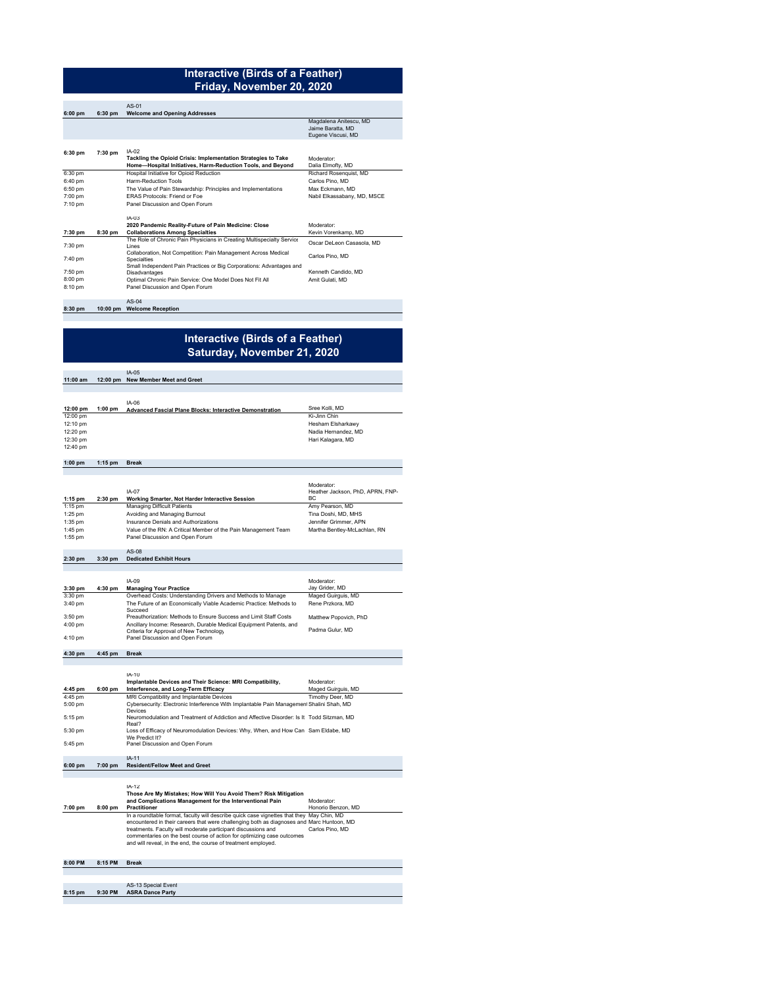#### **Interactive (Birds of a Feather) Friday, November 20, 2020**

|           |           | $AS-01$                                                                               |                             |
|-----------|-----------|---------------------------------------------------------------------------------------|-----------------------------|
| $6:00$ pm | $6:30$ pm | <b>Welcome and Opening Addresses</b>                                                  |                             |
|           |           |                                                                                       | Magdalena Anitescu, MD      |
|           |           |                                                                                       | Jaime Baratta, MD           |
|           |           |                                                                                       | Eugene Viscusi, MD          |
|           |           |                                                                                       |                             |
| 6:30 pm   | $7:30$ pm | $IA-02$                                                                               |                             |
|           |           | Tackling the Opioid Crisis: Implementation Strategies to Take                         | Moderator:                  |
|           |           | Home-Hospital Initiatives, Harm-Reduction Tools, and Beyond                           | Dalia Elmofty, MD           |
| 6:30 pm   |           | Hospital Initiative for Opioid Reduction                                              | Richard Rosenguist, MD      |
| 6:40 pm   |           | Harm-Reduction Tools                                                                  | Carlos Pino, MD             |
| 6:50 pm   |           | The Value of Pain Stewardship: Principles and Implementations                         | Max Eckmann, MD             |
| 7:00 pm   |           | FRAS Protocols: Friend or Foe                                                         | Nabil Elkassabany, MD, MSCE |
| 7:10 pm   |           | Panel Discussion and Open Forum                                                       |                             |
|           |           | $IA - 0.3$                                                                            |                             |
|           |           | 2020 Pandemic Reality-Future of Pain Medicine: Close                                  | Moderator:                  |
| 7:30 pm   | 8:30 pm   | <b>Collaborations Among Specialties</b>                                               | Kevin Vorenkamp, MD         |
|           |           | The Role of Chronic Pain Physicians in Creating Multispecialty Service                | Oscar DeLeon Casasola, MD   |
| 7:30 pm   |           | I ines                                                                                |                             |
|           |           | Collaboration, Not Competition: Pain Management Across Medical                        | Carlos Pino, MD             |
| 7:40 pm   |           | <b>Specialties</b>                                                                    |                             |
| 7:50 pm   |           | Small Independent Pain Practices or Big Corporations: Advantages and<br>Disadvantages | Kenneth Candido, MD         |
| 8:00 pm   |           | Optimal Chronic Pain Service: One Model Does Not Fit All                              | Amit Gulati, MD             |
| 8:10 pm   |           | Panel Discussion and Open Forum                                                       |                             |
|           |           |                                                                                       |                             |
|           |           | $AS-04$                                                                               |                             |
| 8:30 pm   | 10:00 pm  | <b>Welcome Reception</b>                                                              |                             |

## **Interactive (Birds of a Feather) Saturday, November 21, 2020**

|            |           | IA-05                                                           |                     |
|------------|-----------|-----------------------------------------------------------------|---------------------|
|            |           |                                                                 |                     |
| $11:00$ am | 12:00 pm  | <b>New Member Meet and Greet</b>                                |                     |
|            |           |                                                                 |                     |
|            |           |                                                                 |                     |
|            |           | $IA-06$                                                         |                     |
| 12:00 pm   | $1:00$ pm | <b>Advanced Fascial Plane Blocks: Interactive Demonstration</b> | Sree Kolli, MD      |
| 12:00 pm   |           |                                                                 | Ki-Jinn Chin        |
| 12:10 pm   |           |                                                                 | Hesham Elsharkawy   |
| 12:20 pm   |           |                                                                 | Nadia Hernandez, MD |
| 12:30 pm   |           |                                                                 | Hari Kalagara, MD   |
| 12:40 pm   |           |                                                                 |                     |
| 1:00nm     | $4.4E$ nm | <b>Draak</b>                                                    |                     |

#### **1:00 pm 1:15 pm Break**

|           |           | $IA-07$                                                        | Moderator:<br>Heather Jackson, PhD, APRN, FNP-<br>BC |
|-----------|-----------|----------------------------------------------------------------|------------------------------------------------------|
| $1:15$ pm | $2:30$ pm | Working Smarter, Not Harder Interactive Session                |                                                      |
| $1:15$ pm |           | <b>Managing Difficult Patients</b>                             | Amy Pearson, MD                                      |
| $1:25$ pm |           | Avoiding and Managing Burnout                                  | Tina Doshi, MD, MHS                                  |
| $1:35$ pm |           | Insurance Denials and Authorizations                           | Jennifer Grimmer, APN                                |
| $1:45$ pm |           | Value of the RN: A Critical Member of the Pain Management Team | Martha Bentlev-McLachlan, RN                         |
| $1:55$ pm |           | Panel Discussion and Open Forum                                |                                                      |

#### **2:30 pm 3:30 pm**  AS-08 **Dedicated Exhibit Hours**

|           |           | $IA-09$                                                                                                       | Moderator:            |
|-----------|-----------|---------------------------------------------------------------------------------------------------------------|-----------------------|
| $3:30$ pm | $4:30$ pm | <b>Managing Your Practice</b>                                                                                 | Jav Grider, MD        |
| 3:30 pm   |           | Overhead Costs: Understanding Drivers and Methods to Manage                                                   | Maged Guirguis, MD    |
| $3:40$ pm |           | The Future of an Economically Viable Academic Practice: Methods to<br>Succeed                                 | Rene Przkora, MD      |
| $3:50$ pm |           | Preauthorization: Methods to Ensure Success and Limit Staff Costs                                             | Matthew Popovich, PhD |
| $4:00$ pm |           | Ancillary Income: Research, Durable Medical Equipment Patents, and<br>Criteria for Approval of New Technology | Padma Gulur, MD       |
| $4:10$ pm |           | Panel Discussion and Open Forum                                                                               |                       |

**4:30 pm 4:45 pm Break**

|           |           | IA-10<br>Implantable Devices and Their Science: MRI Compatibility,                                   | Moderator:         |
|-----------|-----------|------------------------------------------------------------------------------------------------------|--------------------|
| 4:45 pm   | $6:00$ pm | Interference, and Long-Term Efficacy                                                                 | Maged Guirguis, MD |
| 4:45 pm   |           | MRI Compatibility and Implantable Devices                                                            | Timothy Deer, MD   |
| $5:00$ pm |           | Cybersecurity: Electronic Interference With Implantable Pain Management Shalini Shah, MD<br>Devices  |                    |
| $5:15$ pm |           | Neuromodulation and Treatment of Addiction and Affective Disorder: Is It Todd Sitzman, MD<br>Real?   |                    |
| 5:30 pm   |           | Loss of Efficacy of Neuromodulation Devices: Why, When, and How Can Sam Eldabe, MD<br>We Predict It? |                    |
| 5:45 pm   |           | Panel Discussion and Open Forum                                                                      |                    |
|           |           | .                                                                                                    |                    |

#### **6:00 pm 7:00 pm**  IA-11 **Resident/Fellow Meet and Greet**

**7:00 pm 8:00 pm**  IA-12 **Those Are My Mistakes; How Will You Avoid Them? Risk Mitigation and Complications Management for the Interventional Pain Practitioner** and Complications Management for the Interventional Pain<br>
Practitioner Monoio Senzon, MD<br>
In a roundtable format, faculty will describe quick case vignettes that they May Chin, MD<br>
encountered in their careers that were ch May Chin, MD Marc Huntoon, MD Carlos Pino, MD

#### **8:00 PM 8:15 PM Break**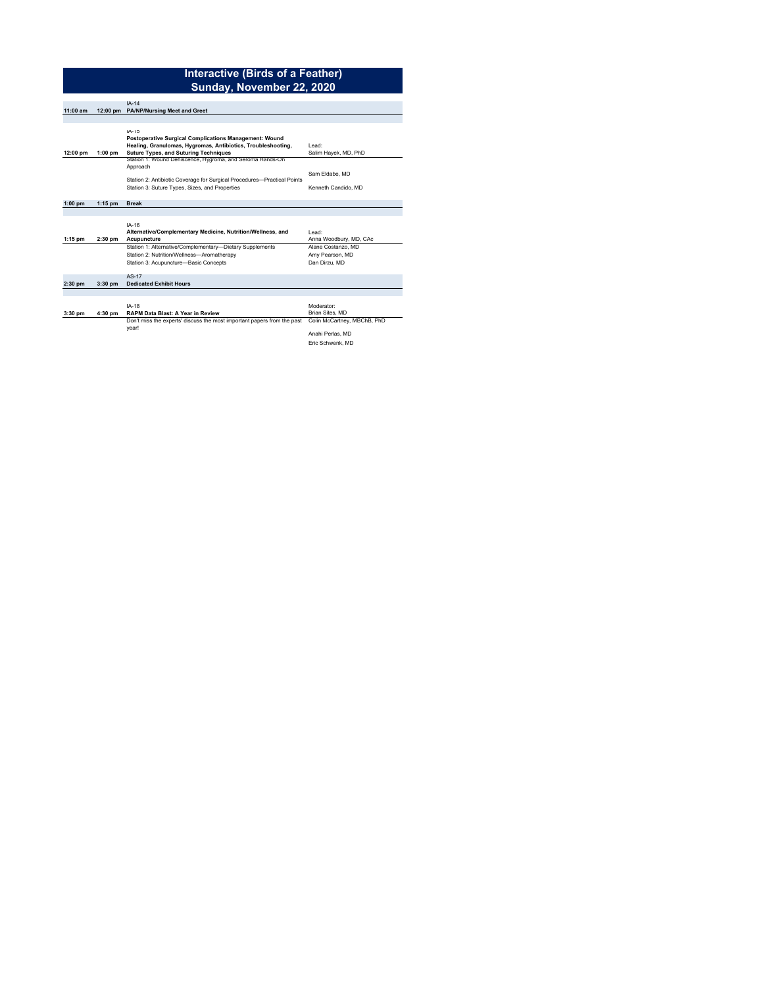#### **Interactive (Birds of a Feather) Sunday, November 22, 2020**

|            |           | $IA-14$                                                                 |                             |
|------------|-----------|-------------------------------------------------------------------------|-----------------------------|
| $11:00$ am |           | 12:00 pm PA/NP/Nursing Meet and Greet                                   |                             |
|            |           |                                                                         |                             |
|            |           |                                                                         |                             |
|            |           | $IA-15$                                                                 |                             |
|            |           | Postoperative Surgical Complications Management: Wound                  |                             |
|            |           | Healing, Granulomas, Hygromas, Antibiotics, Troubleshooting,            | I ead:                      |
| 12:00 pm   | $1:00$ pm | <b>Suture Types, and Suturing Techniques</b>                            | Salim Hayek, MD, PhD        |
|            |           | Station 1: Wound Dehiscence, Hygroma, and Seroma Hands-On               |                             |
|            |           | Approach                                                                |                             |
|            |           |                                                                         | Sam Eldabe, MD              |
|            |           | Station 2: Antibiotic Coverage for Surgical Procedures-Practical Points |                             |
|            |           | Station 3: Suture Types, Sizes, and Properties                          | Kenneth Candido, MD         |
|            |           |                                                                         |                             |
| $1:00$ pm  | $1:15$ pm | <b>Break</b>                                                            |                             |
|            |           |                                                                         |                             |
|            |           |                                                                         |                             |
|            |           | IA-16                                                                   |                             |
|            |           | Alternative/Complementary Medicine, Nutrition/Wellness, and             | I ead:                      |
| $1:15$ pm  | $2:30$ pm | Acupuncture                                                             | Anna Woodbury, MD, CAc      |
|            |           | Station 1: Alternative/Complementary-Dietary Supplements                | Alane Costanzo, MD          |
|            |           | Station 2: Nutrition/Wellness-Aromatherapy                              | Amy Pearson, MD             |
|            |           |                                                                         |                             |
|            |           | Station 3: Acupuncture-Basic Concepts                                   | Dan Dirzu, MD               |
|            |           |                                                                         |                             |
|            |           | AS-17                                                                   |                             |
| $2:30$ pm  | $3:30$ pm | <b>Dedicated Exhibit Hours</b>                                          |                             |
|            |           |                                                                         |                             |
|            |           |                                                                         |                             |
|            |           | $IA-18$                                                                 | Moderator:                  |
| $3:30$ pm  | 4:30 pm   | RAPM Data Blast: A Year in Review                                       | Brian Sites, MD             |
|            |           | Don't miss the experts' discuss the most important papers from the past | Colin McCartney, MBChB, PhD |
|            |           | vear!                                                                   |                             |

Anahi Perlas, MD

Anahi Perlas, MD<br>Eric Schwenk, MD